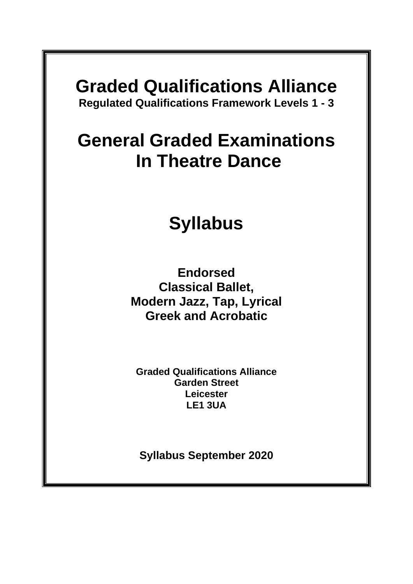# **Graded Qualifications Alliance**

**Regulated Qualifications Framework Levels 1 - 3**

### **General Graded Examinations In Theatre Dance**

## **Syllabus**

**Endorsed Classical Ballet, Modern Jazz, Tap, Lyrical Greek and Acrobatic**

**Graded Qualifications Alliance Garden Street Leicester LE1 3UA**

**Syllabus September 2020**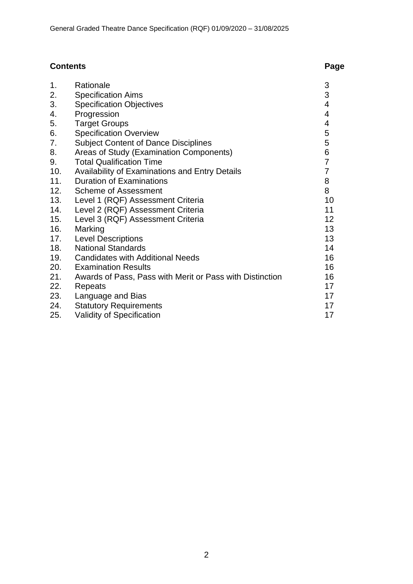### **Contents Page**

| 1.  | Rationale                                                | 3              |
|-----|----------------------------------------------------------|----------------|
| 2.  | <b>Specification Aims</b>                                | 3              |
| 3.  | <b>Specification Objectives</b>                          | 4              |
| 4.  | Progression                                              | 4              |
| 5.  | <b>Target Groups</b>                                     | 4              |
| 6.  | <b>Specification Overview</b>                            | 5              |
| 7.  | <b>Subject Content of Dance Disciplines</b>              | 5              |
| 8.  | Areas of Study (Examination Components)                  | 6              |
| 9.  | <b>Total Qualification Time</b>                          | $\overline{7}$ |
| 10. | Availability of Examinations and Entry Details           | $\overline{7}$ |
| 11. | <b>Duration of Examinations</b>                          | 8              |
| 12. | <b>Scheme of Assessment</b>                              | 8              |
| 13. | Level 1 (RQF) Assessment Criteria                        | 10             |
| 14. | Level 2 (RQF) Assessment Criteria                        | 11             |
| 15. | Level 3 (RQF) Assessment Criteria                        | 12             |
| 16. | Marking                                                  | 13             |
| 17. | <b>Level Descriptions</b>                                | 13             |
| 18. | <b>National Standards</b>                                | 14             |
| 19. | <b>Candidates with Additional Needs</b>                  | 16             |
| 20. | <b>Examination Results</b>                               | 16             |
| 21. | Awards of Pass, Pass with Merit or Pass with Distinction | 16             |
| 22. | Repeats                                                  | 17             |
| 23. | Language and Bias                                        | 17             |
| 24. | <b>Statutory Requirements</b>                            | 17             |
|     |                                                          |                |

25. Validity of Specification **17** and 17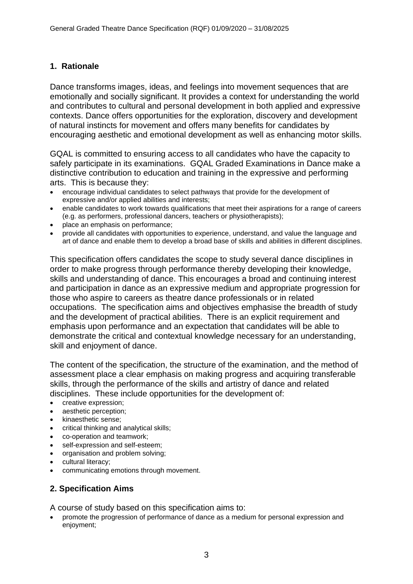#### **1. Rationale**

Dance transforms images, ideas, and feelings into movement sequences that are emotionally and socially significant. It provides a context for understanding the world and contributes to cultural and personal development in both applied and expressive contexts. Dance offers opportunities for the exploration, discovery and development of natural instincts for movement and offers many benefits for candidates by encouraging aesthetic and emotional development as well as enhancing motor skills.

GQAL is committed to ensuring access to all candidates who have the capacity to safely participate in its examinations. GQAL Graded Examinations in Dance make a distinctive contribution to education and training in the expressive and performing arts. This is because they:

- encourage individual candidates to select pathways that provide for the development of expressive and/or applied abilities and interests;
- enable candidates to work towards qualifications that meet their aspirations for a range of careers (e.g. as performers, professional dancers, teachers or physiotherapists);
- place an emphasis on performance;
- provide all candidates with opportunities to experience, understand, and value the language and art of dance and enable them to develop a broad base of skills and abilities in different disciplines.

This specification offers candidates the scope to study several dance disciplines in order to make progress through performance thereby developing their knowledge, skills and understanding of dance. This encourages a broad and continuing interest and participation in dance as an expressive medium and appropriate progression for those who aspire to careers as theatre dance professionals or in related occupations. The specification aims and objectives emphasise the breadth of study and the development of practical abilities. There is an explicit requirement and emphasis upon performance and an expectation that candidates will be able to demonstrate the critical and contextual knowledge necessary for an understanding, skill and enjoyment of dance.

The content of the specification, the structure of the examination, and the method of assessment place a clear emphasis on making progress and acquiring transferable skills, through the performance of the skills and artistry of dance and related disciplines. These include opportunities for the development of:

- creative expression;
- aesthetic perception;
- kinaesthetic sense;
- critical thinking and analytical skills;
- co-operation and teamwork;
- self-expression and self-esteem;
- organisation and problem solving;
- cultural literacy;
- communicating emotions through movement.

#### **2. Specification Aims**

A course of study based on this specification aims to:

• promote the progression of performance of dance as a medium for personal expression and enjoyment;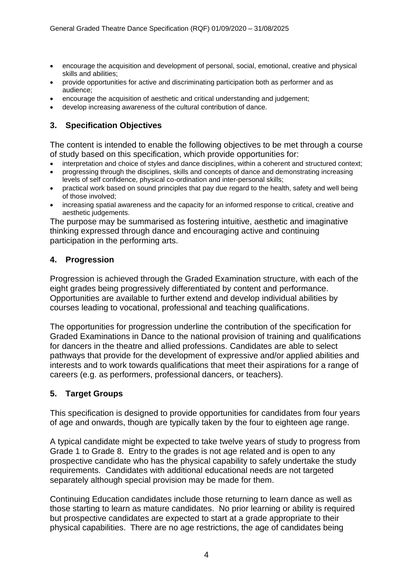- encourage the acquisition and development of personal, social, emotional, creative and physical skills and abilities;
- provide opportunities for active and discriminating participation both as performer and as audience;
- encourage the acquisition of aesthetic and critical understanding and judgement;
- develop increasing awareness of the cultural contribution of dance.

#### **3. Specification Objectives**

The content is intended to enable the following objectives to be met through a course of study based on this specification, which provide opportunities for:

- interpretation and choice of styles and dance disciplines, within a coherent and structured context;
- progressing through the disciplines, skills and concepts of dance and demonstrating increasing levels of self confidence, physical co-ordination and inter-personal skills;
- practical work based on sound principles that pay due regard to the health, safety and well being of those involved;
- increasing spatial awareness and the capacity for an informed response to critical, creative and aesthetic judgements.

The purpose may be summarised as fostering intuitive, aesthetic and imaginative thinking expressed through dance and encouraging active and continuing participation in the performing arts.

#### **4. Progression**

Progression is achieved through the Graded Examination structure, with each of the eight grades being progressively differentiated by content and performance. Opportunities are available to further extend and develop individual abilities by courses leading to vocational, professional and teaching qualifications.

The opportunities for progression underline the contribution of the specification for Graded Examinations in Dance to the national provision of training and qualifications for dancers in the theatre and allied professions. Candidates are able to select pathways that provide for the development of expressive and/or applied abilities and interests and to work towards qualifications that meet their aspirations for a range of careers (e.g. as performers, professional dancers, or teachers).

#### **5. Target Groups**

This specification is designed to provide opportunities for candidates from four years of age and onwards, though are typically taken by the four to eighteen age range.

A typical candidate might be expected to take twelve years of study to progress from Grade 1 to Grade 8. Entry to the grades is not age related and is open to any prospective candidate who has the physical capability to safely undertake the study requirements. Candidates with additional educational needs are not targeted separately although special provision may be made for them.

Continuing Education candidates include those returning to learn dance as well as those starting to learn as mature candidates. No prior learning or ability is required but prospective candidates are expected to start at a grade appropriate to their physical capabilities. There are no age restrictions, the age of candidates being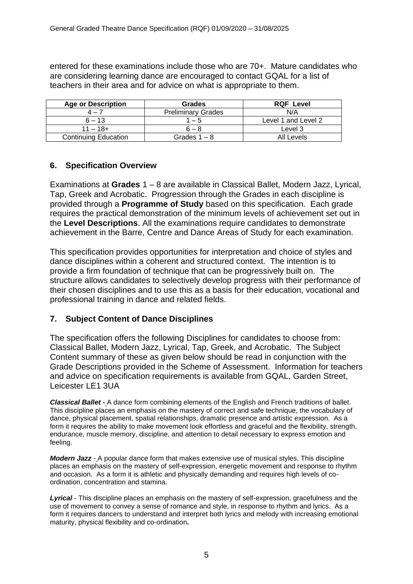entered for these examinations include those who are 70+. Mature candidates who are considering learning dance are encouraged to contact GQAL for a list of teachers in their area and for advice on what is appropriate to them.

| <b>Age or Description</b>   | <b>Grades</b>             | <b>RQF Level</b>    |
|-----------------------------|---------------------------|---------------------|
| $4 - 7$                     | <b>Preliminary Grades</b> | N/A                 |
| $6 - 13$                    | $1 - 5$                   | Level 1 and Level 2 |
| $11 - 18 +$                 | $6 - 8$                   | Level 3             |
| <b>Continuing Education</b> | Grades $1 - 8$            | All Levels          |

#### **6. Specification Overview**

Examinations at **Grades** 1 – 8 are available in Classical Ballet, Modern Jazz, Lyrical, Tap, Greek and Acrobatic. Progression through the Grades in each discipline is provided through a **Programme of Study** based on this specification. Each grade requires the practical demonstration of the minimum levels of achievement set out in the **Level Descriptions**. All the examinations require candidates to demonstrate achievement in the Barre, Centre and Dance Areas of Study for each examination.

This specification provides opportunities for interpretation and choice of styles and dance disciplines within a coherent and structured context. The intention is to provide a firm foundation of technique that can be progressively built on. The structure allows candidates to selectively develop progress with their performance of their chosen disciplines and to use this as a basis for their education, vocational and professional training in dance and related fields.

#### **7. Subject Content of Dance Disciplines**

The specification offers the following Disciplines for candidates to choose from: Classical Ballet, Modern Jazz, Lyrical, Tap, Greek, and Acrobatic. The Subject Content summary of these as given below should be read in conjunction with the Grade Descriptions provided in the Scheme of Assessment. Information for teachers and advice on specification requirements is available from GQAL, Garden Street, Leicester LE1 3UA

*Classical Ballet* **-** A dance form combining elements of the English and French traditions of ballet. This discipline places an emphasis on the mastery of correct and safe technique, the vocabulary of dance, physical placement, spatial relationships, dramatic presence and artistic expression. As a form it requires the ability to make movement look effortless and graceful and the flexibility, strength, endurance, muscle memory, discipline, and attention to detail necessary to express emotion and feeling.

*Modern Jazz* - A popular dance form that makes extensive use of musical styles. This discipline places an emphasis on the mastery of self-expression, energetic movement and response to rhythm and occasion. As a form it is athletic and physically demanding and requires high levels of coordination, concentration and stamina.

*Lyrical* - This discipline places an emphasis on the mastery of self-expression, gracefulness and the use of movement to convey a sense of romance and style, in response to rhythm and lyrics. As a form it requires dancers to understand and interpret both lyrics and melody with increasing emotional maturity, physical flexibility and co-ordination**.**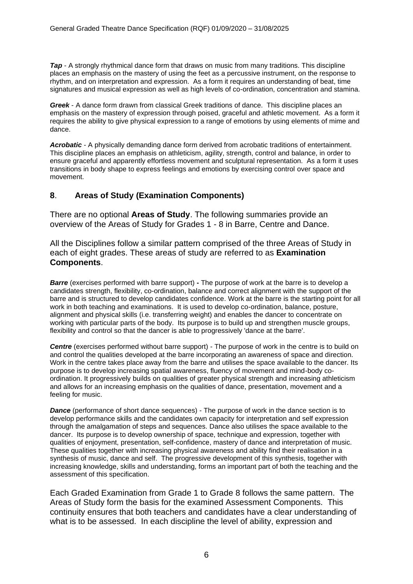**Tap** - A strongly rhythmical dance form that draws on music from many traditions. This discipline places an emphasis on the mastery of using the feet as a percussive instrument, on the response to rhythm, and on interpretation and expression. As a form it requires an understanding of beat, time signatures and musical expression as well as high levels of co-ordination, concentration and stamina.

*Greek* - A dance form drawn from classical Greek traditions of dance. This discipline places an emphasis on the mastery of expression through poised, graceful and athletic movement. As a form it requires the ability to give physical expression to a range of emotions by using elements of mime and dance.

*Acrobatic* - A physically demanding dance form derived from acrobatic traditions of entertainment. This discipline places an emphasis on athleticism, agility, strength, control and balance, in order to ensure graceful and apparently effortless movement and sculptural representation. As a form it uses transitions in body shape to express feelings and emotions by exercising control over space and movement.

#### **8**. **Areas of Study (Examination Components)**

There are no optional **Areas of Study**. The following summaries provide an overview of the Areas of Study for Grades 1 - 8 in Barre, Centre and Dance.

All the Disciplines follow a similar pattern comprised of the three Areas of Study in each of eight grades. These areas of study are referred to as **Examination Components**.

*Barre* (exercises performed with barre support) **-** The purpose of work at the barre is to develop a candidates strength, flexibility, co-ordination, balance and correct alignment with the support of the barre and is structured to develop candidates confidence. Work at the barre is the starting point for all work in both teaching and examinations. It is used to develop co-ordination, balance, posture, alignment and physical skills (i.e. transferring weight) and enables the dancer to concentrate on working with particular parts of the body. Its purpose is to build up and strengthen muscle groups, flexibility and control so that the dancer is able to progressively 'dance at the barre'.

**Centre** (exercises performed without barre support) - The purpose of work in the centre is to build on and control the qualities developed at the barre incorporating an awareness of space and direction. Work in the centre takes place away from the barre and utilises the space available to the dancer. Its purpose is to develop increasing spatial awareness, fluency of movement and mind-body coordination. It progressively builds on qualities of greater physical strength and increasing athleticism and allows for an increasing emphasis on the qualities of dance, presentation, movement and a feeling for music.

**Dance** (performance of short dance sequences) - The purpose of work in the dance section is to develop performance skills and the candidates own capacity for interpretation and self expression through the amalgamation of steps and sequences. Dance also utilises the space available to the dancer. Its purpose is to develop ownership of space, technique and expression, together with qualities of enjoyment, presentation, self-confidence, mastery of dance and interpretation of music. These qualities together with increasing physical awareness and ability find their realisation in a synthesis of music, dance and self. The progressive development of this synthesis, together with increasing knowledge, skills and understanding, forms an important part of both the teaching and the assessment of this specification.

Each Graded Examination from Grade 1 to Grade 8 follows the same pattern. The Areas of Study form the basis for the examined Assessment Components. This continuity ensures that both teachers and candidates have a clear understanding of what is to be assessed. In each discipline the level of ability, expression and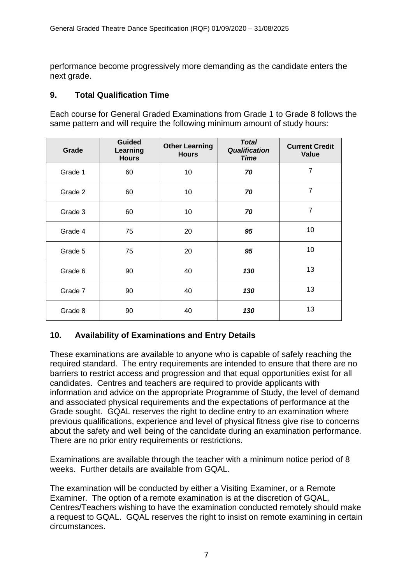performance become progressively more demanding as the candidate enters the next grade.

#### **9. Total Qualification Time**

Each course for General Graded Examinations from Grade 1 to Grade 8 follows the same pattern and will require the following minimum amount of study hours:

| Grade   | <b>Guided</b><br>Learning<br><b>Hours</b> | <b>Other Learning</b><br><b>Hours</b> | <b>Total</b><br><b>Qualification</b><br><b>Time</b> | <b>Current Credit</b><br>Value |
|---------|-------------------------------------------|---------------------------------------|-----------------------------------------------------|--------------------------------|
| Grade 1 | 60                                        | 10                                    | 70                                                  | $\overline{7}$                 |
| Grade 2 | 60                                        | 10                                    | 70                                                  | $\overline{7}$                 |
| Grade 3 | 60                                        | 10                                    | 70                                                  | 7                              |
| Grade 4 | 75                                        | 20                                    | 95                                                  | 10                             |
| Grade 5 | 75                                        | 20                                    | 95                                                  | 10                             |
| Grade 6 | 90                                        | 40                                    | 130                                                 | 13                             |
| Grade 7 | 90                                        | 40                                    | 130                                                 | 13                             |
| Grade 8 | 90                                        | 40                                    | 130                                                 | 13                             |

#### **10. Availability of Examinations and Entry Details**

These examinations are available to anyone who is capable of safely reaching the required standard. The entry requirements are intended to ensure that there are no barriers to restrict access and progression and that equal opportunities exist for all candidates. Centres and teachers are required to provide applicants with information and advice on the appropriate Programme of Study, the level of demand and associated physical requirements and the expectations of performance at the Grade sought. GQAL reserves the right to decline entry to an examination where previous qualifications, experience and level of physical fitness give rise to concerns about the safety and well being of the candidate during an examination performance*.* There are no prior entry requirements or restrictions.

Examinations are available through the teacher with a minimum notice period of 8 weeks. Further details are available from GQAL.

The examination will be conducted by either a Visiting Examiner, or a Remote Examiner. The option of a remote examination is at the discretion of GQAL, Centres/Teachers wishing to have the examination conducted remotely should make a request to GQAL. GQAL reserves the right to insist on remote examining in certain circumstances.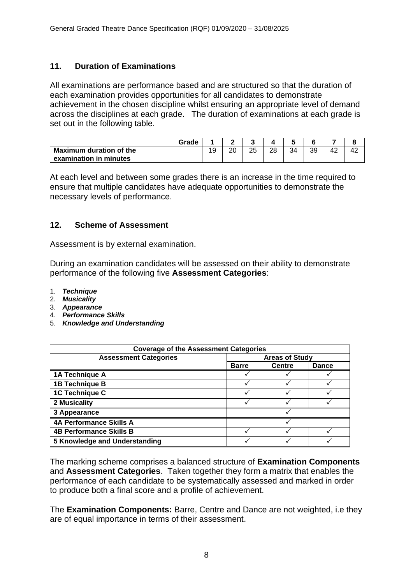#### **11. Duration of Examinations**

All examinations are performance based and are structured so that the duration of each examination provides opportunities for all candidates to demonstrate achievement in the chosen discipline whilst ensuring an appropriate level of demand across the disciplines at each grade. The duration of examinations at each grade is set out in the following table.

| Grade                          |           |    |    |    |    |    |    |    |
|--------------------------------|-----------|----|----|----|----|----|----|----|
| <b>Maximum duration of the</b> | 10<br>ت ، | ററ | 25 | 28 | 34 | 39 | 42 | 42 |
| examination in minutes         |           |    |    |    |    |    |    |    |

At each level and between some grades there is an increase in the time required to ensure that multiple candidates have adequate opportunities to demonstrate the necessary levels of performance.

#### **12. Scheme of Assessment**

Assessment is by external examination.

During an examination candidates will be assessed on their ability to demonstrate performance of the following five **Assessment Categories**:

- 1. *Technique*
- 2. *Musicality*
- 3. *Appearance*
- 4. *Performance Skills*
- 5. *Knowledge and Understanding*

| <b>Coverage of the Assessment Categories</b> |                       |               |              |  |  |
|----------------------------------------------|-----------------------|---------------|--------------|--|--|
| <b>Assessment Categories</b>                 | <b>Areas of Study</b> |               |              |  |  |
|                                              | <b>Barre</b>          | <b>Centre</b> | <b>Dance</b> |  |  |
| 1A Technique A                               |                       |               |              |  |  |
| 1B Technique B                               |                       |               |              |  |  |
| 1C Technique C                               |                       |               |              |  |  |
| 2 Musicality                                 |                       |               |              |  |  |
| 3 Appearance                                 |                       |               |              |  |  |
| <b>4A Performance Skills A</b>               |                       |               |              |  |  |
| <b>4B Performance Skills B</b>               |                       |               |              |  |  |
| 5 Knowledge and Understanding                |                       |               |              |  |  |

The marking scheme comprises a balanced structure of **Examination Components** and **Assessment Categories**. Taken together they form a matrix that enables the performance of each candidate to be systematically assessed and marked in order to produce both a final score and a profile of achievement.

The **Examination Components:** Barre, Centre and Dance are not weighted, i.e they are of equal importance in terms of their assessment.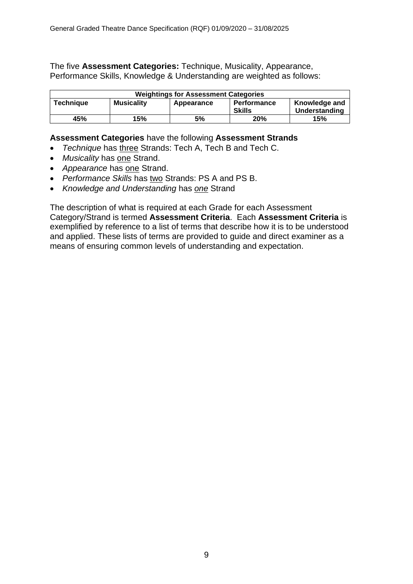The five **Assessment Categories:** Technique, Musicality, Appearance, Performance Skills, Knowledge & Understanding are weighted as follows:

| <b>Weightings for Assessment Categories</b>                                                                                  |  |  |  |  |  |  |
|------------------------------------------------------------------------------------------------------------------------------|--|--|--|--|--|--|
| Knowledge and<br><b>Technique</b><br><b>Musicality</b><br><b>Performance</b><br>Appearance<br><b>Skills</b><br>Understanding |  |  |  |  |  |  |
| 15%<br>15%<br>45%<br>5%<br>20%                                                                                               |  |  |  |  |  |  |

#### **Assessment Categories** have the following **Assessment Strands**

- *Technique* has three Strands: Tech A, Tech B and Tech C.
- *Musicality* has one Strand.
- *Appearance* has one Strand.
- *Performance Skills* has two Strands: PS A and PS B.
- *Knowledge and Understanding* has *one* Strand

The description of what is required at each Grade for each Assessment Category/Strand is termed **Assessment Criteria**. Each **Assessment Criteria** is exemplified by reference to a list of terms that describe how it is to be understood and applied. These lists of terms are provided to guide and direct examiner as a means of ensuring common levels of understanding and expectation.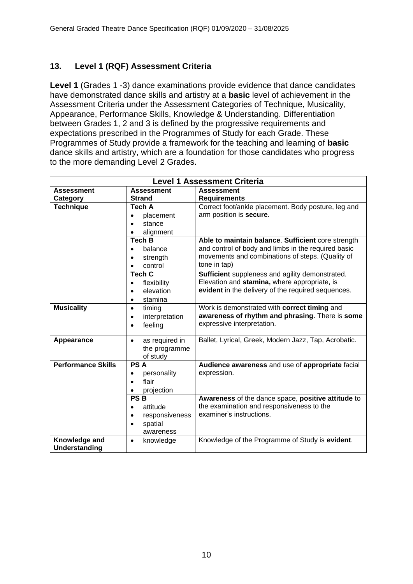#### **13. Level 1 (RQF) Assessment Criteria**

**Level 1** (Grades 1 -3) dance examinations provide evidence that dance candidates have demonstrated dance skills and artistry at a **basic** level of achievement in the Assessment Criteria under the Assessment Categories of Technique, Musicality, Appearance, Performance Skills, Knowledge & Understanding. Differentiation between Grades 1, 2 and 3 is defined by the progressive requirements and expectations prescribed in the Programmes of Study for each Grade. These Programmes of Study provide a framework for the teaching and learning of **basic** dance skills and artistry, which are a foundation for those candidates who progress to the more demanding Level 2 Grades.

|                           | <b>Level 1 Assessment Criteria</b> |                                                      |  |  |  |  |  |
|---------------------------|------------------------------------|------------------------------------------------------|--|--|--|--|--|
| <b>Assessment</b>         | <b>Assessment</b>                  | <b>Assessment</b>                                    |  |  |  |  |  |
| Category                  | <b>Strand</b>                      | <b>Requirements</b>                                  |  |  |  |  |  |
| <b>Technique</b>          | Tech A                             | Correct foot/ankle placement. Body posture, leg and  |  |  |  |  |  |
|                           | placement<br>$\bullet$             | arm position is secure.                              |  |  |  |  |  |
|                           | stance                             |                                                      |  |  |  |  |  |
|                           | alignment                          |                                                      |  |  |  |  |  |
|                           | <b>Tech B</b>                      | Able to maintain balance. Sufficient core strength   |  |  |  |  |  |
|                           | balance<br>$\bullet$               | and control of body and limbs in the required basic  |  |  |  |  |  |
|                           | strength                           | movements and combinations of steps. (Quality of     |  |  |  |  |  |
|                           | control                            | tone in tap)                                         |  |  |  |  |  |
|                           | <b>Tech C</b>                      | Sufficient suppleness and agility demonstrated.      |  |  |  |  |  |
|                           | flexibility<br>$\bullet$           | Elevation and stamina, where appropriate, is         |  |  |  |  |  |
|                           | elevation<br>$\bullet$             | evident in the delivery of the required sequences.   |  |  |  |  |  |
|                           | stamina<br>$\bullet$               |                                                      |  |  |  |  |  |
| <b>Musicality</b>         | timing<br>$\bullet$                | Work is demonstrated with correct timing and         |  |  |  |  |  |
|                           | interpretation<br>$\bullet$        | awareness of rhythm and phrasing. There is some      |  |  |  |  |  |
|                           | feeling<br>$\bullet$               | expressive interpretation.                           |  |  |  |  |  |
|                           |                                    |                                                      |  |  |  |  |  |
| Appearance                | as required in<br>$\bullet$        | Ballet, Lyrical, Greek, Modern Jazz, Tap, Acrobatic. |  |  |  |  |  |
|                           | the programme<br>of study          |                                                      |  |  |  |  |  |
| <b>Performance Skills</b> | <b>PSA</b>                         | Audience awareness and use of appropriate facial     |  |  |  |  |  |
|                           | personality<br>$\bullet$           | expression.                                          |  |  |  |  |  |
|                           | flair<br>$\bullet$                 |                                                      |  |  |  |  |  |
|                           | projection                         |                                                      |  |  |  |  |  |
|                           | <b>PSB</b>                         | Awareness of the dance space, positive attitude to   |  |  |  |  |  |
|                           | attitude<br>$\bullet$              | the examination and responsiveness to the            |  |  |  |  |  |
|                           | responsiveness<br>$\bullet$        | examiner's instructions.                             |  |  |  |  |  |
|                           | spatial                            |                                                      |  |  |  |  |  |
|                           | awareness                          |                                                      |  |  |  |  |  |
| Knowledge and             | knowledge<br>$\bullet$             | Knowledge of the Programme of Study is evident.      |  |  |  |  |  |
| Understanding             |                                    |                                                      |  |  |  |  |  |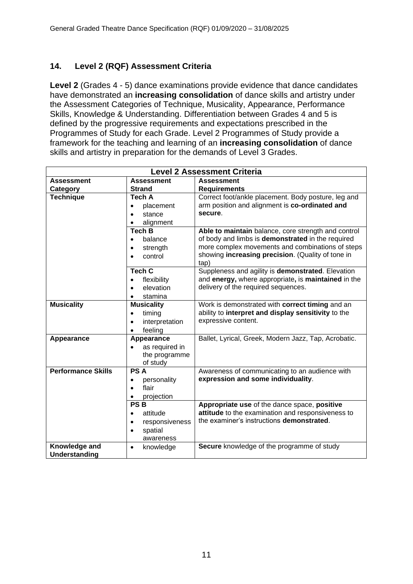#### **14. Level 2 (RQF) Assessment Criteria**

**Level 2** (Grades 4 - 5) dance examinations provide evidence that dance candidates have demonstrated an **increasing consolidation** of dance skills and artistry under the Assessment Categories of Technique, Musicality, Appearance, Performance Skills, Knowledge & Understanding. Differentiation between Grades 4 and 5 is defined by the progressive requirements and expectations prescribed in the Programmes of Study for each Grade. Level 2 Programmes of Study provide a framework for the teaching and learning of an **increasing consolidation** of dance skills and artistry in preparation for the demands of Level 3 Grades.

| <b>Level 2 Assessment Criteria</b> |                             |                                                      |  |  |  |  |
|------------------------------------|-----------------------------|------------------------------------------------------|--|--|--|--|
| <b>Assessment</b>                  | <b>Assessment</b>           | <b>Assessment</b>                                    |  |  |  |  |
| Category                           | <b>Strand</b>               | <b>Requirements</b>                                  |  |  |  |  |
| <b>Technique</b>                   | Tech A                      | Correct foot/ankle placement. Body posture, leg and  |  |  |  |  |
|                                    | placement<br>$\bullet$      | arm position and alignment is co-ordinated and       |  |  |  |  |
|                                    | stance<br>$\bullet$         | secure.                                              |  |  |  |  |
|                                    | alignment<br>$\bullet$      |                                                      |  |  |  |  |
|                                    | <b>Tech B</b>               | Able to maintain balance, core strength and control  |  |  |  |  |
|                                    | balance<br>$\bullet$        | of body and limbs is demonstrated in the required    |  |  |  |  |
|                                    | strength<br>$\bullet$       | more complex movements and combinations of steps     |  |  |  |  |
|                                    | control<br>$\bullet$        | showing increasing precision. (Quality of tone in    |  |  |  |  |
|                                    |                             | tap)                                                 |  |  |  |  |
|                                    | <b>Tech C</b>               | Suppleness and agility is demonstrated. Elevation    |  |  |  |  |
|                                    | flexibility<br>$\bullet$    | and energy, where appropriate, is maintained in the  |  |  |  |  |
|                                    | elevation<br>$\bullet$      | delivery of the required sequences.                  |  |  |  |  |
|                                    | stamina<br>$\bullet$        |                                                      |  |  |  |  |
| <b>Musicality</b>                  | <b>Musicality</b>           | Work is demonstrated with correct timing and an      |  |  |  |  |
|                                    | timing<br>$\bullet$         | ability to interpret and display sensitivity to the  |  |  |  |  |
|                                    | interpretation<br>$\bullet$ | expressive content.                                  |  |  |  |  |
|                                    | feeling<br>$\bullet$        |                                                      |  |  |  |  |
| Appearance                         | Appearance                  | Ballet, Lyrical, Greek, Modern Jazz, Tap, Acrobatic. |  |  |  |  |
|                                    | as required in<br>$\bullet$ |                                                      |  |  |  |  |
|                                    | the programme               |                                                      |  |  |  |  |
|                                    | of study                    |                                                      |  |  |  |  |
| <b>Performance Skills</b>          | <b>PSA</b>                  | Awareness of communicating to an audience with       |  |  |  |  |
|                                    | personality<br>$\bullet$    | expression and some individuality.                   |  |  |  |  |
|                                    | flair<br>$\bullet$          |                                                      |  |  |  |  |
|                                    | projection                  |                                                      |  |  |  |  |
|                                    | <b>PSB</b>                  | Appropriate use of the dance space, positive         |  |  |  |  |
| attitude<br>$\bullet$              |                             | attitude to the examination and responsiveness to    |  |  |  |  |
|                                    | responsiveness<br>$\bullet$ | the examiner's instructions <b>demonstrated</b> .    |  |  |  |  |
|                                    | spatial<br>$\bullet$        |                                                      |  |  |  |  |
|                                    | awareness                   |                                                      |  |  |  |  |
| Knowledge and                      | knowledge<br>$\bullet$      | Secure knowledge of the programme of study           |  |  |  |  |
| Understanding                      |                             |                                                      |  |  |  |  |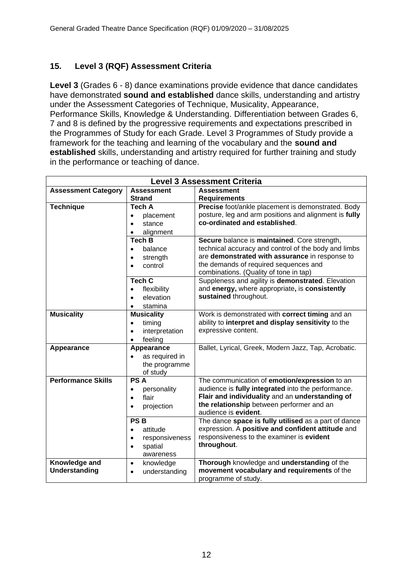#### **15. Level 3 (RQF) Assessment Criteria**

**Level 3** (Grades 6 - 8) dance examinations provide evidence that dance candidates have demonstrated **sound and established** dance skills, understanding and artistry under the Assessment Categories of Technique, Musicality, Appearance, Performance Skills, Knowledge & Understanding. Differentiation between Grades 6, 7 and 8 is defined by the progressive requirements and expectations prescribed in the Programmes of Study for each Grade. Level 3 Programmes of Study provide a framework for the teaching and learning of the vocabulary and the **sound and established** skills, understanding and artistry required for further training and study in the performance or teaching of dance.

| <b>Level 3 Assessment Criteria</b> |                             |                                                       |  |  |  |  |
|------------------------------------|-----------------------------|-------------------------------------------------------|--|--|--|--|
| <b>Assessment Category</b>         | <b>Assessment</b>           | <b>Assessment</b>                                     |  |  |  |  |
|                                    | <b>Strand</b>               | <b>Requirements</b>                                   |  |  |  |  |
| <b>Technique</b>                   | <b>Tech A</b>               | Precise foot/ankle placement is demonstrated. Body    |  |  |  |  |
|                                    | placement<br>$\bullet$      | posture, leg and arm positions and alignment is fully |  |  |  |  |
|                                    | stance<br>$\bullet$         | co-ordinated and established.                         |  |  |  |  |
|                                    | alignment<br>$\bullet$      |                                                       |  |  |  |  |
|                                    | <b>Tech B</b>               | Secure balance is maintained. Core strength,          |  |  |  |  |
|                                    | balance<br>$\bullet$        | technical accuracy and control of the body and limbs  |  |  |  |  |
|                                    | strength<br>$\bullet$       | are demonstrated with assurance in response to        |  |  |  |  |
|                                    | control<br>$\bullet$        | the demands of required sequences and                 |  |  |  |  |
|                                    |                             | combinations. (Quality of tone in tap)                |  |  |  |  |
|                                    | <b>Tech C</b>               | Suppleness and agility is demonstrated. Elevation     |  |  |  |  |
|                                    | flexibility<br>$\bullet$    | and energy, where appropriate, is consistently        |  |  |  |  |
|                                    | elevation<br>$\bullet$      | sustained throughout.                                 |  |  |  |  |
|                                    | stamina<br>$\bullet$        |                                                       |  |  |  |  |
| <b>Musicality</b>                  | <b>Musicality</b>           | Work is demonstrated with correct timing and an       |  |  |  |  |
|                                    | timing<br>$\bullet$         | ability to interpret and display sensitivity to the   |  |  |  |  |
|                                    | interpretation<br>$\bullet$ | expressive content.                                   |  |  |  |  |
|                                    | feeling<br>$\bullet$        |                                                       |  |  |  |  |
| Appearance                         | Appearance                  | Ballet, Lyrical, Greek, Modern Jazz, Tap, Acrobatic.  |  |  |  |  |
|                                    | as required in              |                                                       |  |  |  |  |
|                                    | the programme               |                                                       |  |  |  |  |
|                                    | of study                    |                                                       |  |  |  |  |
| <b>Performance Skills</b>          | <b>PSA</b>                  | The communication of emotion/expression to an         |  |  |  |  |
|                                    | personality<br>$\bullet$    | audience is fully integrated into the performance.    |  |  |  |  |
|                                    | flair<br>$\bullet$          | Flair and individuality and an understanding of       |  |  |  |  |
|                                    | projection<br>$\bullet$     | the relationship between performer and an             |  |  |  |  |
|                                    |                             | audience is evident.                                  |  |  |  |  |
|                                    | <b>PSB</b>                  | The dance space is fully utilised as a part of dance  |  |  |  |  |
|                                    | attitude<br>$\bullet$       | expression. A positive and confident attitude and     |  |  |  |  |
|                                    | responsiveness<br>$\bullet$ | responsiveness to the examiner is evident             |  |  |  |  |
|                                    | spatial<br>$\bullet$        | throughout.                                           |  |  |  |  |
|                                    | awareness                   |                                                       |  |  |  |  |
| Knowledge and                      | knowledge<br>$\bullet$      | Thorough knowledge and understanding of the           |  |  |  |  |
| <b>Understanding</b>               | understanding<br>$\bullet$  | movement vocabulary and requirements of the           |  |  |  |  |
|                                    |                             | programme of study.                                   |  |  |  |  |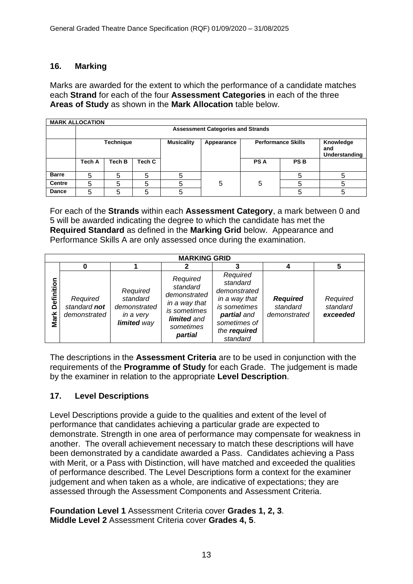#### **16. Marking**

Marks are awarded for the extent to which the performance of a candidate matches each **Strand** for each of the four **Assessment Categories** in each of the three **Areas of Study** as shown in the **Mark Allocation** table below.

|               | <b>MARK ALLOCATION</b>                   |                  |        |                   |            |            |                           |                                   |
|---------------|------------------------------------------|------------------|--------|-------------------|------------|------------|---------------------------|-----------------------------------|
|               | <b>Assessment Categories and Strands</b> |                  |        |                   |            |            |                           |                                   |
|               |                                          | <b>Technique</b> |        | <b>Musicality</b> | Appearance |            | <b>Performance Skills</b> | Knowledge<br>and<br>Understanding |
|               | Tech A                                   | Tech B           | Tech C |                   |            | <b>PSA</b> | <b>PSB</b>                |                                   |
| <b>Barre</b>  | 5                                        | 5                | 5      |                   |            |            |                           |                                   |
| <b>Centre</b> | 5                                        | 5                | 5      |                   | 5          | 5          |                           |                                   |
| <b>Dance</b>  | 5                                        | 5                | 5      |                   |            |            |                           |                                   |

For each of the **Strands** within each **Assessment Category**, a mark between 0 and 5 will be awarded indicating the degree to which the candidate has met the **Required Standard** as defined in the **Marking Grid** below. Appearance and Performance Skills A are only assessed once during the examination.

|                    | <b>MARKING GRID</b>                      |                                                                  |                                                                                                              |                                                                                                                                  |                                             |                                  |  |  |
|--------------------|------------------------------------------|------------------------------------------------------------------|--------------------------------------------------------------------------------------------------------------|----------------------------------------------------------------------------------------------------------------------------------|---------------------------------------------|----------------------------------|--|--|
|                    |                                          |                                                                  |                                                                                                              |                                                                                                                                  |                                             |                                  |  |  |
| Definition<br>Mark | Required<br>standard not<br>demonstrated | Required<br>standard<br>demonstrated<br>in a very<br>limited way | Required<br>standard<br>demonstrated<br>in a way that<br>is sometimes<br>limited and<br>sometimes<br>partial | Required<br>standard<br>demonstrated<br>in a way that<br>is sometimes<br>partial and<br>sometimes of<br>the required<br>standard | <b>Required</b><br>standard<br>demonstrated | Required<br>standard<br>exceeded |  |  |

The descriptions in the **Assessment Criteria** are to be used in conjunction with the requirements of the **Programme of Study** for each Grade. The judgement is made by the examiner in relation to the appropriate **Level Description**.

#### **17. Level Descriptions**

Level Descriptions provide a guide to the qualities and extent of the level of performance that candidates achieving a particular grade are expected to demonstrate. Strength in one area of performance may compensate for weakness in another. The overall achievement necessary to match these descriptions will have been demonstrated by a candidate awarded a Pass. Candidates achieving a Pass with Merit, or a Pass with Distinction, will have matched and exceeded the qualities of performance described. The Level Descriptions form a context for the examiner judgement and when taken as a whole, are indicative of expectations; they are assessed through the Assessment Components and Assessment Criteria.

**Foundation Level 1** Assessment Criteria cover **Grades 1, 2, 3**. **Middle Level 2** Assessment Criteria cover **Grades 4, 5**.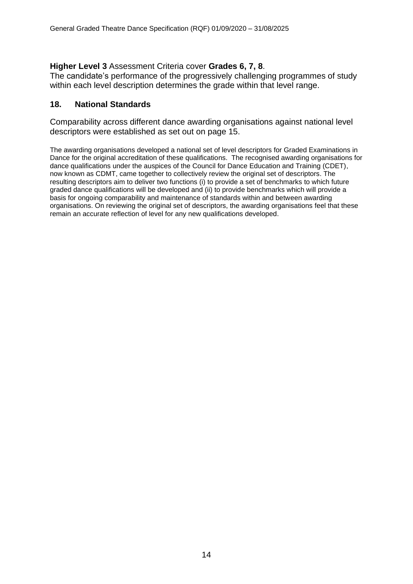#### **Higher Level 3** Assessment Criteria cover **Grades 6, 7, 8**.

The candidate's performance of the progressively challenging programmes of study within each level description determines the grade within that level range.

#### **18. National Standards**

Comparability across different dance awarding organisations against national level descriptors were established as set out on page 15.

The awarding organisations developed a national set of level descriptors for Graded Examinations in Dance for the original accreditation of these qualifications. The recognised awarding organisations for dance qualifications under the auspices of the Council for Dance Education and Training (CDET), now known as CDMT, came together to collectively review the original set of descriptors. The resulting descriptors aim to deliver two functions (i) to provide a set of benchmarks to which future graded dance qualifications will be developed and (ii) to provide benchmarks which will provide a basis for ongoing comparability and maintenance of standards within and between awarding organisations. On reviewing the original set of descriptors, the awarding organisations feel that these remain an accurate reflection of level for any new qualifications developed.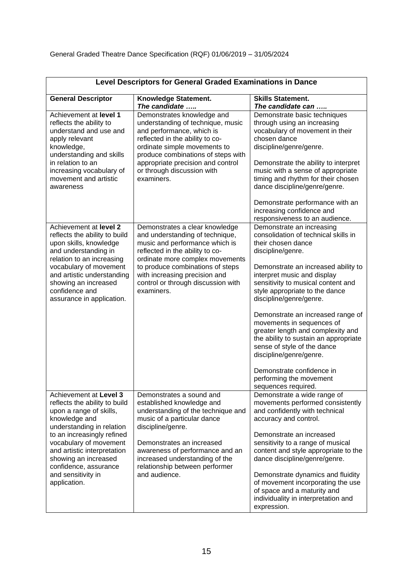|                                                                                                                                                                                                                                                                                                                | Level Descriptors for General Graded Examinations in Dance                                                                                                                                                                                                                                           |                                                                                                                                                                                                                                                                                                                                                                                                                                                                                                                                                                                |
|----------------------------------------------------------------------------------------------------------------------------------------------------------------------------------------------------------------------------------------------------------------------------------------------------------------|------------------------------------------------------------------------------------------------------------------------------------------------------------------------------------------------------------------------------------------------------------------------------------------------------|--------------------------------------------------------------------------------------------------------------------------------------------------------------------------------------------------------------------------------------------------------------------------------------------------------------------------------------------------------------------------------------------------------------------------------------------------------------------------------------------------------------------------------------------------------------------------------|
| <b>General Descriptor</b>                                                                                                                                                                                                                                                                                      | Knowledge Statement.<br>The candidate                                                                                                                                                                                                                                                                | <b>Skills Statement.</b><br>The candidate can                                                                                                                                                                                                                                                                                                                                                                                                                                                                                                                                  |
| Achievement at level 1<br>reflects the ability to<br>understand and use and<br>apply relevant<br>knowledge,<br>understanding and skills<br>in relation to an<br>increasing vocabulary of<br>movement and artistic<br>awareness                                                                                 | Demonstrates knowledge and<br>understanding of technique, music<br>and performance, which is<br>reflected in the ability to co-<br>ordinate simple movements to<br>produce combinations of steps with<br>appropriate precision and control<br>or through discussion with<br>examiners.               | Demonstrate basic techniques<br>through using an increasing<br>vocabulary of movement in their<br>chosen dance<br>discipline/genre/genre.<br>Demonstrate the ability to interpret<br>music with a sense of appropriate<br>timing and rhythm for their chosen<br>dance discipline/genre/genre.<br>Demonstrate performance with an<br>increasing confidence and<br>responsiveness to an audience.                                                                                                                                                                                |
| Achievement at level 2<br>reflects the ability to build<br>upon skills, knowledge<br>and understanding in<br>relation to an increasing<br>vocabulary of movement<br>and artistic understanding<br>showing an increased<br>confidence and<br>assurance in application.                                          | Demonstrates a clear knowledge<br>and understanding of technique,<br>music and performance which is<br>reflected in the ability to co-<br>ordinate more complex movements<br>to produce combinations of steps<br>with increasing precision and<br>control or through discussion with<br>examiners.   | Demonstrate an increasing<br>consolidation of technical skills in<br>their chosen dance<br>discipline/genre.<br>Demonstrate an increased ability to<br>interpret music and display<br>sensitivity to musical content and<br>style appropriate to the dance<br>discipline/genre/genre.<br>Demonstrate an increased range of<br>movements in sequences of<br>greater length and complexity and<br>the ability to sustain an appropriate<br>sense of style of the dance<br>discipline/genre/genre.<br>Demonstrate confidence in<br>performing the movement<br>sequences required. |
| Achievement at Level 3<br>reflects the ability to build<br>upon a range of skills,<br>knowledge and<br>understanding in relation<br>to an increasingly refined<br>vocabulary of movement<br>and artistic interpretation<br>showing an increased<br>confidence, assurance<br>and sensitivity in<br>application. | Demonstrates a sound and<br>established knowledge and<br>understanding of the technique and<br>music of a particular dance<br>discipline/genre.<br>Demonstrates an increased<br>awareness of performance and an<br>increased understanding of the<br>relationship between performer<br>and audience. | Demonstrate a wide range of<br>movements performed consistently<br>and confidently with technical<br>accuracy and control.<br>Demonstrate an increased<br>sensitivity to a range of musical<br>content and style appropriate to the<br>dance discipline/genre/genre.<br>Demonstrate dynamics and fluidity<br>of movement incorporating the use<br>of space and a maturity and<br>individuality in interpretation and<br>expression.                                                                                                                                            |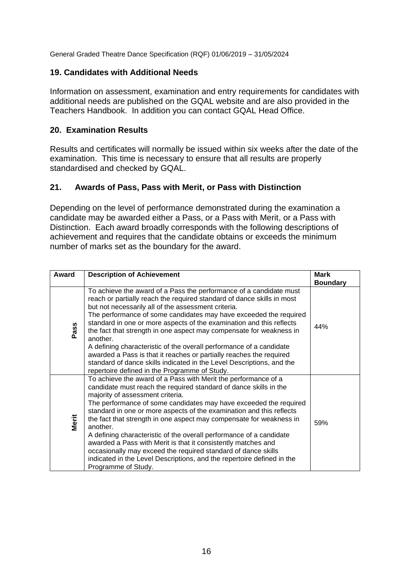General Graded Theatre Dance Specification (RQF) 01/06/2019 – 31/05/2024

#### **19. Candidates with Additional Needs**

Information on assessment, examination and entry requirements for candidates with additional needs are published on the GQAL website and are also provided in the Teachers Handbook. In addition you can contact GQAL Head Office.

#### **20. Examination Results**

Results and certificates will normally be issued within six weeks after the date of the examination. This time is necessary to ensure that all results are properly standardised and checked by GQAL.

#### **21. Awards of Pass, Pass with Merit, or Pass with Distinction**

Depending on the level of performance demonstrated during the examination a candidate may be awarded either a Pass, or a Pass with Merit, or a Pass with Distinction. Each award broadly corresponds with the following descriptions of achievement and requires that the candidate obtains or exceeds the minimum number of marks set as the boundary for the award.

| Award | <b>Description of Achievement</b>                                                                                                                                                                                                                                                                                                                                                                                                                                                                                                                                                                                                                                                                                 | <b>Mark</b><br><b>Boundary</b> |
|-------|-------------------------------------------------------------------------------------------------------------------------------------------------------------------------------------------------------------------------------------------------------------------------------------------------------------------------------------------------------------------------------------------------------------------------------------------------------------------------------------------------------------------------------------------------------------------------------------------------------------------------------------------------------------------------------------------------------------------|--------------------------------|
| Pass  | To achieve the award of a Pass the performance of a candidate must<br>reach or partially reach the required standard of dance skills in most<br>but not necessarily all of the assessment criteria.<br>The performance of some candidates may have exceeded the required<br>standard in one or more aspects of the examination and this reflects<br>the fact that strength in one aspect may compensate for weakness in<br>another.<br>A defining characteristic of the overall performance of a candidate<br>awarded a Pass is that it reaches or partially reaches the required<br>standard of dance skills indicated in the Level Descriptions, and the<br>repertoire defined in the Programme of Study.       | 44%                            |
| Merit | To achieve the award of a Pass with Merit the performance of a<br>candidate must reach the required standard of dance skills in the<br>majority of assessment criteria.<br>The performance of some candidates may have exceeded the required<br>standard in one or more aspects of the examination and this reflects<br>the fact that strength in one aspect may compensate for weakness in<br>another.<br>A defining characteristic of the overall performance of a candidate<br>awarded a Pass with Merit is that it consistently matches and<br>occasionally may exceed the required standard of dance skills<br>indicated in the Level Descriptions, and the repertoire defined in the<br>Programme of Study. | 59%                            |